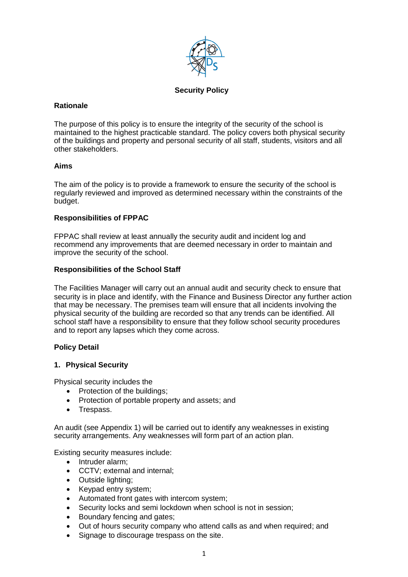

### **Security Policy**

#### **Rationale**

The purpose of this policy is to ensure the integrity of the security of the school is maintained to the highest practicable standard. The policy covers both physical security of the buildings and property and personal security of all staff, students, visitors and all other stakeholders.

#### **Aims**

The aim of the policy is to provide a framework to ensure the security of the school is regularly reviewed and improved as determined necessary within the constraints of the budget.

#### **Responsibilities of FPPAC**

FPPAC shall review at least annually the security audit and incident log and recommend any improvements that are deemed necessary in order to maintain and improve the security of the school.

#### **Responsibilities of the School Staff**

The Facilities Manager will carry out an annual audit and security check to ensure that security is in place and identify, with the Finance and Business Director any further action that may be necessary. The premises team will ensure that all incidents involving the physical security of the building are recorded so that any trends can be identified. All school staff have a responsibility to ensure that they follow school security procedures and to report any lapses which they come across.

### **Policy Detail**

### **1. Physical Security**

Physical security includes the

- Protection of the buildings;
- Protection of portable property and assets; and
- Trespass.

An audit (see Appendix 1) will be carried out to identify any weaknesses in existing security arrangements. Any weaknesses will form part of an action plan.

Existing security measures include:

- Intruder alarm:
- CCTV; external and internal;
- Outside lighting;
- Keypad entry system;
- Automated front gates with intercom system;
- Security locks and semi lockdown when school is not in session;
- Boundary fencing and gates;
- Out of hours security company who attend calls as and when required; and
- Signage to discourage trespass on the site.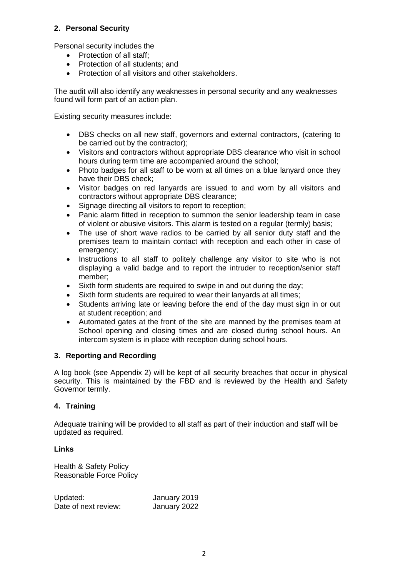## **2. Personal Security**

Personal security includes the

- Protection of all staff:
- Protection of all students: and
- Protection of all visitors and other stakeholders.

The audit will also identify any weaknesses in personal security and any weaknesses found will form part of an action plan.

Existing security measures include:

- DBS checks on all new staff, governors and external contractors, (catering to be carried out by the contractor);
- Visitors and contractors without appropriate DBS clearance who visit in school hours during term time are accompanied around the school;
- Photo badges for all staff to be worn at all times on a blue lanyard once they have their DBS check;
- Visitor badges on red lanyards are issued to and worn by all visitors and contractors without appropriate DBS clearance;
- Signage directing all visitors to report to reception;
- Panic alarm fitted in reception to summon the senior leadership team in case of violent or abusive visitors. This alarm is tested on a regular (termly) basis;
- The use of short wave radios to be carried by all senior duty staff and the premises team to maintain contact with reception and each other in case of emergency;
- Instructions to all staff to politely challenge any visitor to site who is not displaying a valid badge and to report the intruder to reception/senior staff member;
- Sixth form students are required to swipe in and out during the day;
- Sixth form students are required to wear their lanyards at all times;
- Students arriving late or leaving before the end of the day must sign in or out at student reception; and
- Automated gates at the front of the site are manned by the premises team at School opening and closing times and are closed during school hours. An intercom system is in place with reception during school hours.

### **3. Reporting and Recording**

A log book (see Appendix 2) will be kept of all security breaches that occur in physical security. This is maintained by the FBD and is reviewed by the Health and Safety Governor termly.

## **4. Training**

Adequate training will be provided to all staff as part of their induction and staff will be updated as required.

### **Links**

Health & Safety Policy Reasonable Force Policy

Updated: January 2019 Date of next review: January 2022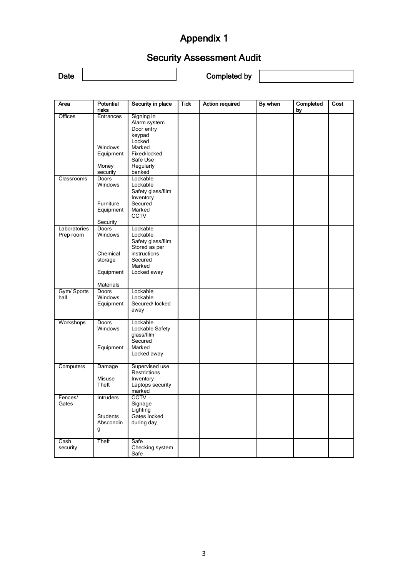# Appendix 1

# Security Assessment Audit

Date **Late** Completed by

| Area                      | Potential<br>risks                                                       | Security in place                                                                                                         | <b>Tick</b> | <b>Action required</b> | By when | Completed<br>by | Cost |
|---------------------------|--------------------------------------------------------------------------|---------------------------------------------------------------------------------------------------------------------------|-------------|------------------------|---------|-----------------|------|
| <b>Offices</b>            | Entrances<br><b>Windows</b><br>Equipment<br>Money<br>security            | Signing in<br>Alarm system<br>Door entry<br>keypad<br>Locked<br>Marked<br>Fixed/locked<br>Safe Use<br>Regularly<br>banked |             |                        |         |                 |      |
| Classrooms                | <b>Doors</b><br>Windows<br>Furniture<br>Equipment<br>Security            | Lockable<br>Lockable<br>Safety glass/film<br>Inventory<br>Secured<br>Marked<br>CCTV                                       |             |                        |         |                 |      |
| Laboratories<br>Prep room | Doors<br>Windows<br>Chemical<br>storage<br>Equipment<br><b>Materials</b> | Lockable<br>Lockable<br>Safety glass/film<br>Stored as per<br>instructions<br>Secured<br>Marked<br>Locked away            |             |                        |         |                 |      |
| Gym/ Sports<br>hall       | <b>Doors</b><br>Windows<br>Equipment                                     | Lockable<br>Lockable<br>Secured/ locked<br>away                                                                           |             |                        |         |                 |      |
| Workshops                 | <b>Doors</b><br>Windows<br>Equipment                                     | Lockable<br>Lockable Safety<br>glass/film<br>Secured<br>Marked<br>Locked away                                             |             |                        |         |                 |      |
| Computers                 | Damage<br>Misuse<br>Theft                                                | Supervised use<br>Restrictions<br>Inventory<br>Laptops security<br>marked                                                 |             |                        |         |                 |      |
| Fences/<br>Gates          | Intruders<br>Students<br>Abscondin<br>g                                  | CCTV<br>Signage<br>Lighting<br>Gates locked<br>during day                                                                 |             |                        |         |                 |      |
| Cash<br>security          | Theft                                                                    | Safe<br>Checking system<br>Safe                                                                                           |             |                        |         |                 |      |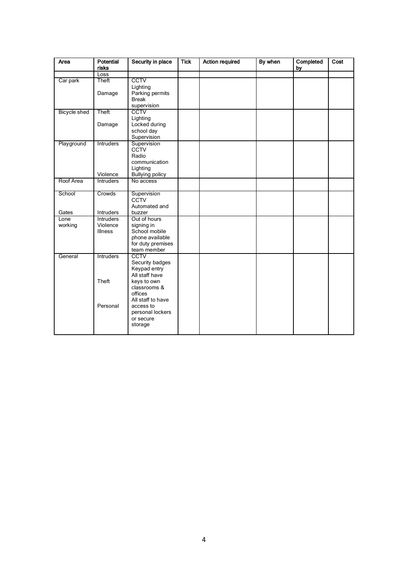| Area         | Potential<br>risks    | Security in place                                                                   | <b>Tick</b> | <b>Action required</b> | By when | Completed<br><u>by</u> | Cost |
|--------------|-----------------------|-------------------------------------------------------------------------------------|-------------|------------------------|---------|------------------------|------|
|              | Loss                  |                                                                                     |             |                        |         |                        |      |
| Car park     | Theft<br>Damage       | <b>CCTV</b><br>Lighting<br>Parking permits                                          |             |                        |         |                        |      |
|              |                       | <b>Break</b><br>supervision                                                         |             |                        |         |                        |      |
| Bicycle shed | Theft                 | <b>CCTV</b><br>Lighting                                                             |             |                        |         |                        |      |
|              | Damage                | Locked during<br>school day<br>Supervision                                          |             |                        |         |                        |      |
| Playground   | Intruders<br>Violence | Supervision<br>CCTV<br>Radio<br>communication<br>Lighting<br><b>Bullying policy</b> |             |                        |         |                        |      |
| Roof Area    | <b>Intruders</b>      | No access                                                                           |             |                        |         |                        |      |
|              |                       |                                                                                     |             |                        |         |                        |      |
| School       | Crowds                | Supervision<br><b>CCTV</b><br>Automated and                                         |             |                        |         |                        |      |
| Gates        | Intruders             | buzzer                                                                              |             |                        |         |                        |      |
| Lone         | <b>Intruders</b>      | Out of hours                                                                        |             |                        |         |                        |      |
| working      | Violence              | signing in                                                                          |             |                        |         |                        |      |
|              | <b>Illness</b>        | School mobile                                                                       |             |                        |         |                        |      |
|              |                       | phone available                                                                     |             |                        |         |                        |      |
|              |                       | for duty premises                                                                   |             |                        |         |                        |      |
|              |                       | team member                                                                         |             |                        |         |                        |      |
| General      | Intruders             | CCTV                                                                                |             |                        |         |                        |      |
|              |                       | Security badges                                                                     |             |                        |         |                        |      |
|              |                       | Keypad entry                                                                        |             |                        |         |                        |      |
|              |                       | All staff have                                                                      |             |                        |         |                        |      |
|              | Theft                 | keys to own                                                                         |             |                        |         |                        |      |
|              |                       | classrooms &                                                                        |             |                        |         |                        |      |
|              |                       | offices                                                                             |             |                        |         |                        |      |
|              |                       | All staff to have                                                                   |             |                        |         |                        |      |
|              | Personal              |                                                                                     |             |                        |         |                        |      |
|              |                       | access to                                                                           |             |                        |         |                        |      |
|              |                       | personal lockers                                                                    |             |                        |         |                        |      |
|              |                       | or secure                                                                           |             |                        |         |                        |      |
|              |                       | storage                                                                             |             |                        |         |                        |      |
|              |                       |                                                                                     |             |                        |         |                        |      |